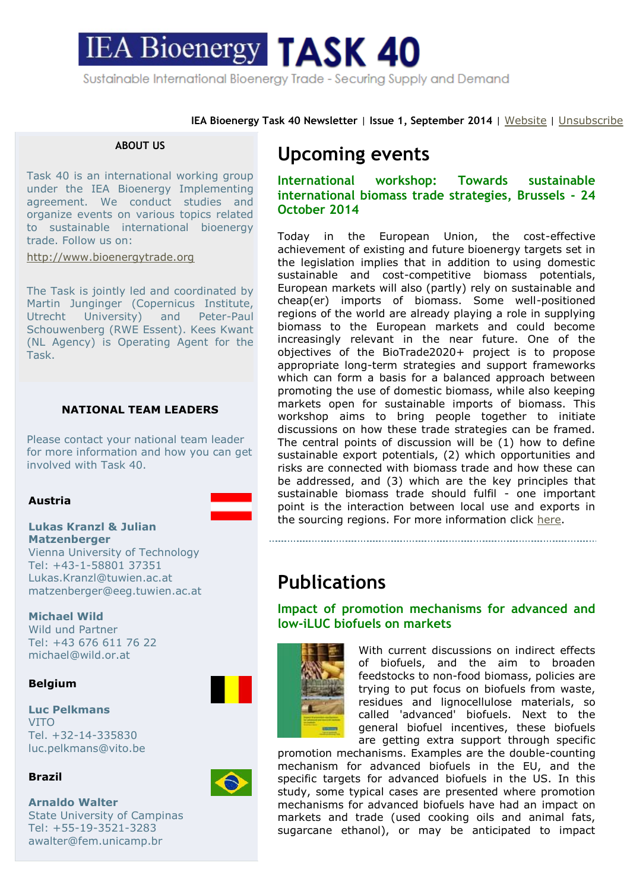# **IEA Bioenergy TASK 40** Sustainable International Bioenergy Trade - Securing Supply and Demand

**IEA Bioenergy Task 40 Newsletter** | **Issue 1, September 2014** | [Website](http://www.bioenergytrade.org/) | [Unsubscribe](http://ymlp232.net/ugemwujhgugegujb)

#### **ABOUT US**

Task 40 is an international working group under the IEA Bioenergy Implementing agreement. We conduct studies and organize events on various topics related to sustainable international bioenergy trade. Follow us on:

[http://www.bioenergytrade.org](http://www.bioenergytrade.org/)

The Task is jointly led and coordinated by Martin Junginger (Copernicus Institute, Utrecht University) and Peter-Paul Schouwenberg (RWE Essent). Kees Kwant (NL Agency) is Operating Agent for the Task.

#### **NATIONAL TEAM LEADERS**

Please contact your national team leader for more information and how you can get involved with Task 40.

#### **Austria**

#### **Lukas Kranzl & Julian Matzenberger**

Vienna University of Technology Tel: +43-1-58801 37351 Lukas.Kranzl@tuwien.ac.at matzenberger@eeg.tuwien.ac.at

#### **Michael Wild**

Wild und Partner Tel: +43 676 611 76 22 michael@wild.or.at

#### **Belgium**

**Luc Pelkmans** VITO Tel. +32-14-335830 luc.pelkmans@vito.be

#### **Brazil**

**Arnaldo Walter** State University of Campinas Tel: +55-19-3521-3283 awalter@fem.unicamp.br

## **Upcoming events**

**International workshop: Towards sustainable international biomass trade strategies, Brussels - 24 October 2014**

Today in the European Union, the cost-effective achievement of existing and future bioenergy targets set in the legislation implies that in addition to using domestic sustainable and cost-competitive biomass potentials, European markets will also (partly) rely on sustainable and cheap(er) imports of biomass. Some well-positioned regions of the world are already playing a role in supplying biomass to the European markets and could become increasingly relevant in the near future. One of the objectives of the BioTrade2020+ project is to propose appropriate long-term strategies and support frameworks which can form a basis for a balanced approach between promoting the use of domestic biomass, while also keeping markets open for sustainable imports of biomass. This workshop aims to bring people together to initiate discussions on how these trade strategies can be framed. The central points of discussion will be (1) how to define sustainable export potentials, (2) which opportunities and risks are connected with biomass trade and how these can be addressed, and (3) which are the key principles that sustainable biomass trade should fulfil - one important point is the interaction between local use and exports in the sourcing regions. For more information click [here.](http://bioenergytrade.org/downloads/t40-biotrade2020plus-brussels-workshop-programme-2014.pdf)

## **Publications**

## **Impact of promotion mechanisms for advanced and low-iLUC biofuels on markets**



With current discussions on indirect effects of biofuels, and the aim to broaden feedstocks to non-food biomass, policies are trying to put focus on biofuels from waste, residues and lignocellulose materials, so called 'advanced' biofuels. Next to the general biofuel incentives, these biofuels are getting extra support through specific

promotion mechanisms. Examples are the double-counting mechanism for advanced biofuels in the EU, and the specific targets for advanced biofuels in the US. In this study, some typical cases are presented where promotion mechanisms for advanced biofuels have had an impact on markets and trade (used cooking oils and animal fats, sugarcane ethanol), or may be anticipated to impact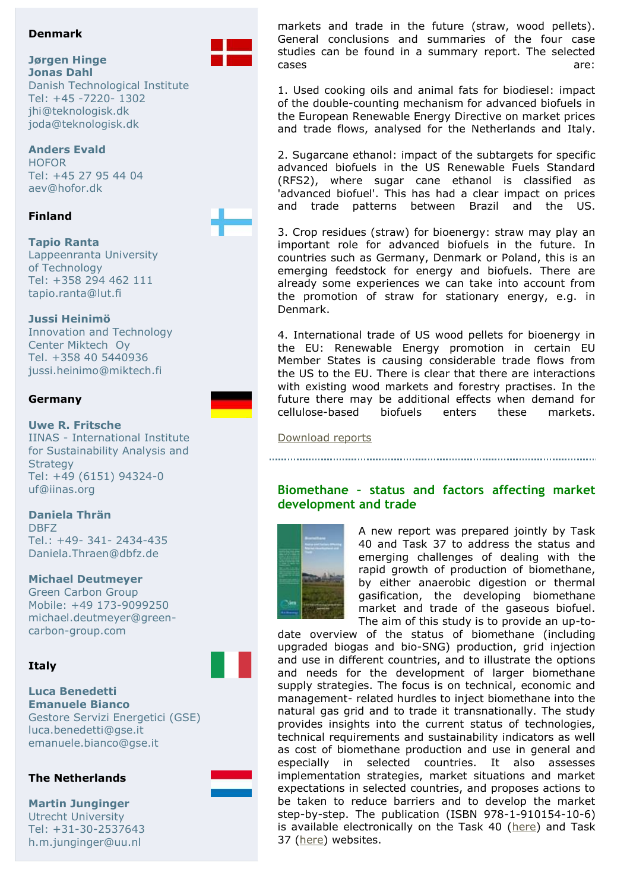#### **Denmark**

#### **Jørgen Hinge Jonas Dahl**

Danish Technological Institute Tel: +45 -7220- 1302 jhi@teknologisk.dk joda@teknologisk.dk

## **Anders Evald**

**HOFOR** Tel: +45 27 95 44 04 aev@hofor.dk

### **Finland**

**Tapio Ranta** Lappeenranta University of Technology Tel: +358 294 462 111 tapio.ranta@lut.fi

### **Jussi Heinimö**

Innovation and Technology Center Miktech Oy Tel. +358 40 5440936 jussi.heinimo@miktech.fi

### **Germany**

**Uwe R. Fritsche**

IINAS - International Institute for Sustainability Analysis and **Strategy** Tel: +49 (6151) 94324-0 uf@iinas.org

**Daniela Thrän** DBFZ  $Tel: +49- 341- 2434-435$ Daniela.Thraen@dbfz.de

#### **Michael Deutmeyer**

Green Carbon Group Mobile: +49 173-9099250 michael.deutmeyer@greencarbon-group.com

### **Italy**

**Luca Benedetti Emanuele Bianco** Gestore Servizi Energetici (GSE) luca.benedetti@gse.it emanuele.bianco@gse.it

### **The Netherlands**

**Martin Junginger** Utrecht University Tel: +31-30-2537643 h.m.junginger@uu.nl



markets and trade in the future (straw, wood pellets). General conclusions and summaries of the four case studies can be found in a summary report. The selected cases are: the cases of the contract of the cases are:

1. Used cooking oils and animal fats for biodiesel: impact of the double-counting mechanism for advanced biofuels in the European Renewable Energy Directive on market prices and trade flows, analysed for the Netherlands and Italy.

2. Sugarcane ethanol: impact of the subtargets for specific advanced biofuels in the US Renewable Fuels Standard (RFS2), where sugar cane ethanol is classified as 'advanced biofuel'. This has had a clear impact on prices and trade patterns between Brazil and the US.

3. Crop residues (straw) for bioenergy: straw may play an important role for advanced biofuels in the future. In countries such as Germany, Denmark or Poland, this is an emerging feedstock for energy and biofuels. There are already some experiences we can take into account from the promotion of straw for stationary energy, e.g. in Denmark.

4. International trade of US wood pellets for bioenergy in the EU: Renewable Energy promotion in certain EU Member States is causing considerable trade flows from the US to the EU. There is clear that there are interactions with existing wood markets and forestry practises. In the future there may be additional effects when demand for cellulose-based biofuels enters these markets.

#### [Download reports](http://bioenergytrade.org/publications.html#Lowiluc)

## **Biomethane – status and factors affecting market development and trade**



A new report was prepared jointly by Task 40 and Task 37 to address the status and emerging challenges of dealing with the rapid growth of production of biomethane, by either anaerobic digestion or thermal gasification, the developing biomethane market and trade of the gaseous biofuel. The aim of this study is to provide an up-to-

date overview of the status of biomethane (including upgraded biogas and bio-SNG) production, grid injection and use in different countries, and to illustrate the options and needs for the development of larger biomethane supply strategies. The focus is on technical, economic and management- related hurdles to inject biomethane into the natural gas grid and to trade it transnationally. The study provides insights into the current status of technologies, technical requirements and sustainability indicators as well as cost of biomethane production and use in general and especially in selected countries. It also assesses implementation strategies, market situations and market expectations in selected countries, and proposes actions to be taken to reduce barriers and to develop the market step-by-step. The publication (ISBN 978-1-910154-10-6) is available electronically on the Task 40 [\(here\)](http://www.bioenergytrade.org/publications.html#Biomethane2014) and Task 37 [\(here\)](http://www.iea-biogas.net/technical-brochures.html) websites.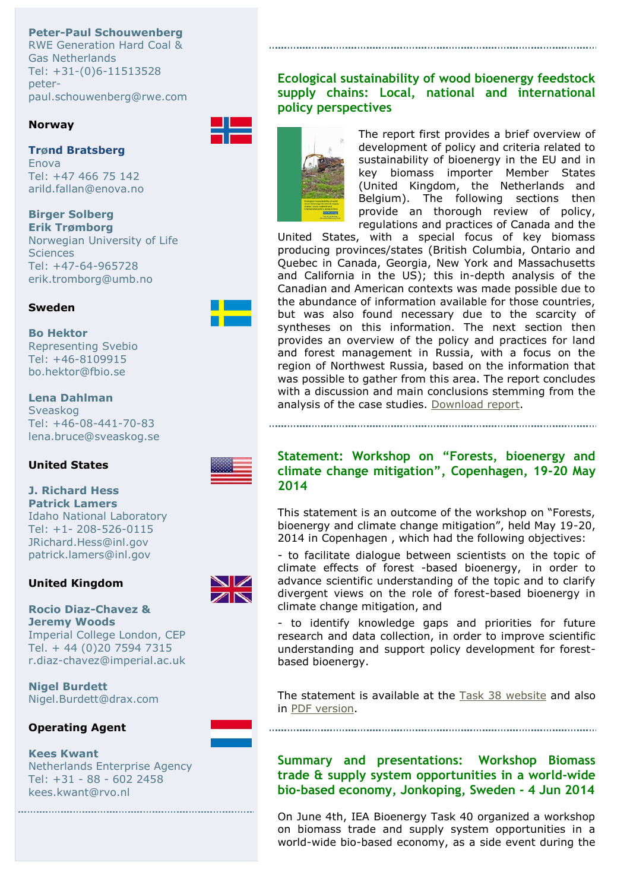**Peter-Paul Schouwenberg** RWE Generation Hard Coal & Gas Netherlands Tel: +31-(0)6-11513528 peterpaul.schouwenberg@rwe.com

#### **Norway**

#### **Trønd Bratsberg** Enova

Tel: +47 466 75 142 arild.fallan@enova.no

## **Birger Solberg**

**Erik Trømborg** Norwegian University of Life **Sciences** Tel: +47-64-965728 erik.tromborg@umb.no

## **Sweden**

## **Bo Hektor**

Representing Svebio Tel: +46-8109915 bo.hektor@fbio.se

## **Lena Dahlman**

Sveaskog Tel: +46-08-441-70-83 lena.bruce@sveaskog.se

### **United States**

## **J. Richard Hess Patrick Lamers**

Idaho National Laboratory Tel: +1- 208-526-0115 JRichard.Hess@inl.gov patrick.lamers@inl.gov

## **United Kingdom**

#### **Rocio Diaz-Chavez & Jeremy Woods** Imperial College London, CEP Tel. + 44 (0)20 7594 7315 r.diaz-chavez@imperial.ac.uk

**Nigel Burdett** Nigel.Burdett@drax.com

## **Operating Agent**

## **Kees Kwant**

Netherlands Enterprise Agency Tel: +31 - 88 - 602 2458 kees.kwant@rvo.nl

**Ecological sustainability of wood bioenergy feedstock supply chains: Local, national and international policy perspectives**



The report first provides a brief overview of development of policy and criteria related to sustainability of bioenergy in the EU and in key biomass importer Member States (United Kingdom, the Netherlands and Belgium). The following sections then provide an thorough review of policy, regulations and practices of Canada and the

United States, with a special focus of key biomass producing provinces/states (British Columbia, Ontario and Quebec in Canada, Georgia, New York and Massachusetts and California in the US); this in-depth analysis of the Canadian and American contexts was made possible due to the abundance of information available for those countries, but was also found necessary due to the scarcity of syntheses on this information. The next section then provides an overview of the policy and practices for land and forest management in Russia, with a focus on the region of Northwest Russia, based on the information that was possible to gather from this area. The report concludes with a discussion and main conclusions stemming from the analysis of the case studies. [Download report.](http://bioenergytrade.org/downloads/t40-sustainable-wood-energy-2014.pdf)

## **Statement: Workshop on "Forests, bioenergy and climate change mitigation", Copenhagen, 19-20 May 2014**

This statement is an outcome of the workshop on "Forests, bioenergy and climate change mitigation", held May 19-20, 2014 in Copenhagen , which had the following objectives:

- to facilitate dialogue between scientists on the topic of climate effects of forest -based bioenergy, in order to advance scientific understanding of the topic and to clarify divergent views on the role of forest-based bioenergy in climate change mitigation, and

- to identify knowledge gaps and priorities for future research and data collection, in order to improve scientific understanding and support policy development for forestbased bioenergy.

The statement is available at the **Task 38 website** and also in [PDF version.](http://task38.org/JRC_IEABio_EEA_IINAS_Joint_CPH_Workshop_Statement_2014.pdf)

**Summary and presentations: Workshop Biomass trade & supply system opportunities in a world-wide bio-based economy, Jonkoping, Sweden - 4 Jun 2014**

On June 4th, IEA Bioenergy Task 40 organized a workshop on biomass trade and supply system opportunities in a world-wide bio-based economy, as a side event during the